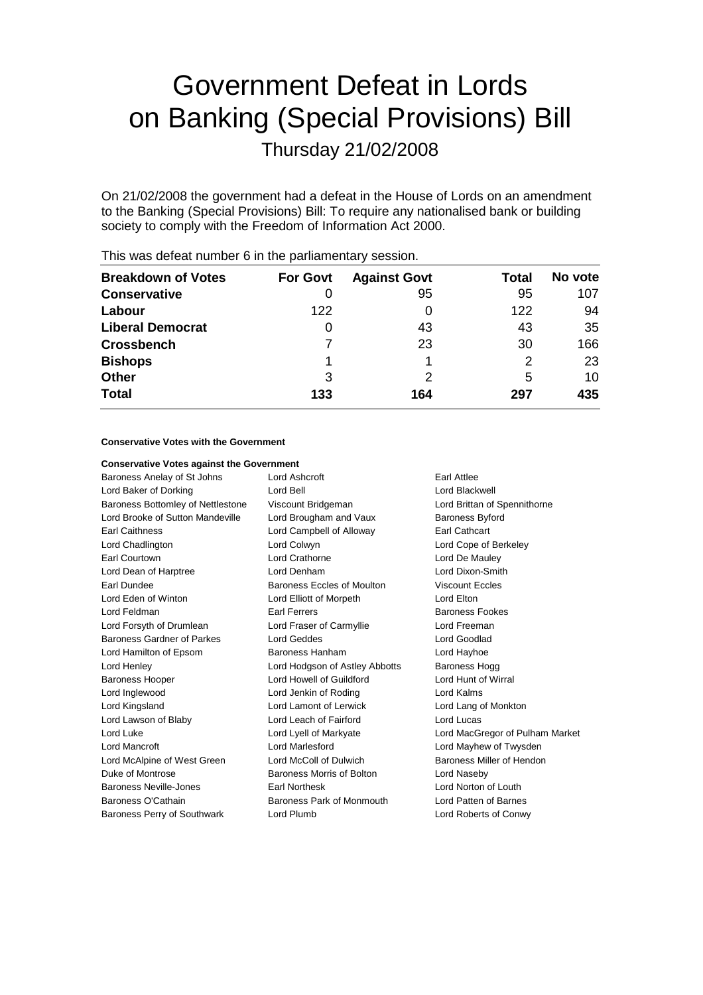# Government Defeat in Lords on Banking (Special Provisions) Bill

Thursday 21/02/2008

On 21/02/2008 the government had a defeat in the House of Lords on an amendment to the Banking (Special Provisions) Bill: To require any nationalised bank or building society to comply with the Freedom of Information Act 2000.

| <b>For Govt</b> | <b>Against Govt</b> | <b>Total</b> | No vote |  |  |
|-----------------|---------------------|--------------|---------|--|--|
| O               | 95                  | 95           | 107     |  |  |
| 122             |                     | 122          | 94      |  |  |
| O               | 43                  | 43           | 35      |  |  |
|                 | 23                  | 30           | 166     |  |  |
|                 |                     | 2            | 23      |  |  |
| 3               |                     | 5            | 10      |  |  |
| 133             | 164                 | 297          | 435     |  |  |
|                 |                     |              |         |  |  |

This was defeat number 6 in the parliamentary session.

## **Conservative Votes with the Government**

### **Conservative Votes against the Government**

| Baroness Anelay of St Johns        | Lord Ashcroft                  | <b>Farl Attlee</b>              |  |
|------------------------------------|--------------------------------|---------------------------------|--|
| Lord Baker of Dorking              | Lord Bell                      | Lord Blackwell                  |  |
| Baroness Bottomley of Nettlestone  | Viscount Bridgeman             | Lord Brittan of Spennithorne    |  |
| Lord Brooke of Sutton Mandeville   | Lord Brougham and Vaux         | <b>Baroness Byford</b>          |  |
| Earl Caithness                     | Lord Campbell of Alloway       | <b>Earl Cathcart</b>            |  |
| Lord Chadlington                   | Lord Colwyn                    | Lord Cope of Berkeley           |  |
| Earl Courtown                      | Lord Crathorne                 | Lord De Mauley                  |  |
| Lord Dean of Harptree              | Lord Denham                    | Lord Dixon-Smith                |  |
| Earl Dundee                        | Baroness Eccles of Moulton     | <b>Viscount Eccles</b>          |  |
| Lord Eden of Winton                | Lord Elliott of Morpeth        | Lord Elton                      |  |
| Lord Feldman                       | <b>Earl Ferrers</b>            | <b>Baroness Fookes</b>          |  |
| Lord Forsyth of Drumlean           | Lord Fraser of Carmyllie       | Lord Freeman                    |  |
| Baroness Gardner of Parkes         | Lord Geddes                    | Lord Goodlad                    |  |
| Lord Hamilton of Epsom             | Baroness Hanham                | Lord Hayhoe                     |  |
| Lord Henley                        | Lord Hodgson of Astley Abbotts | Baroness Hogg                   |  |
| <b>Baroness Hooper</b>             | Lord Howell of Guildford       | Lord Hunt of Wirral             |  |
| Lord Inglewood                     | Lord Jenkin of Roding          | Lord Kalms                      |  |
| Lord Kingsland                     | Lord Lamont of Lerwick         | Lord Lang of Monkton            |  |
| Lord Lawson of Blaby               | Lord Leach of Fairford         | Lord Lucas                      |  |
| Lord Luke                          | Lord Lyell of Markyate         | Lord MacGregor of Pulham Market |  |
| Lord Mancroft                      | Lord Marlesford                | Lord Mayhew of Twysden          |  |
| Lord McAlpine of West Green        | Lord McColl of Dulwich         | Baroness Miller of Hendon       |  |
| Duke of Montrose                   | Baroness Morris of Bolton      | Lord Naseby                     |  |
| Baroness Neville-Jones             | <b>Earl Northesk</b>           | Lord Norton of Louth            |  |
| Baroness O'Cathain                 | Baroness Park of Monmouth      | Lord Patten of Barnes           |  |
| <b>Baroness Perry of Southwark</b> | Lord Plumb                     | Lord Roberts of Conwy           |  |
|                                    |                                |                                 |  |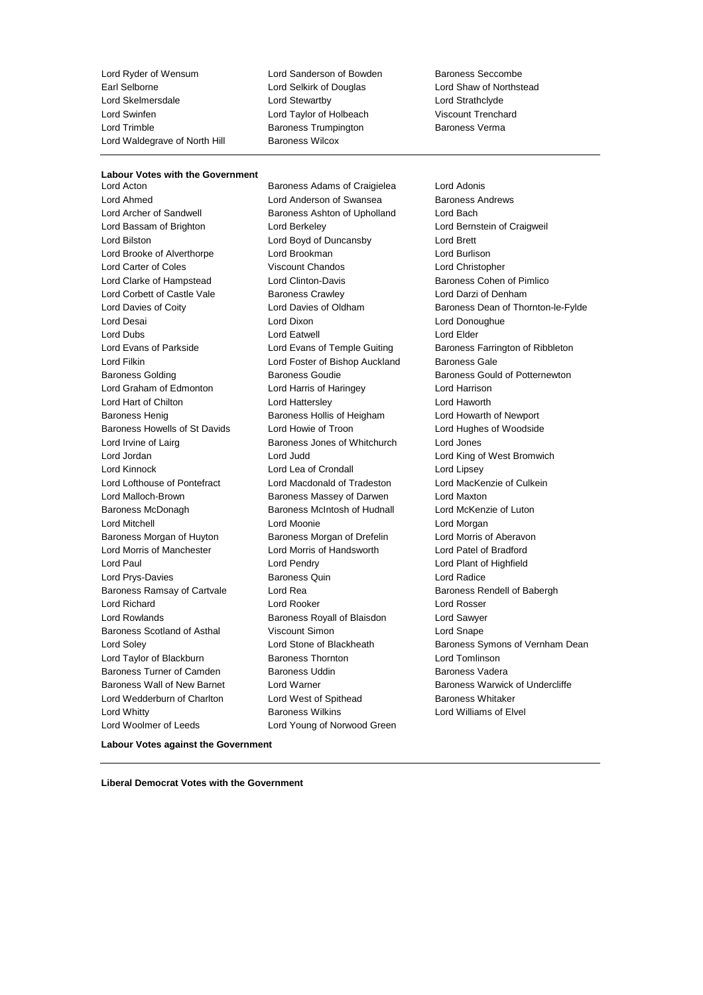Lord Ryder of Wensum Lord Sanderson of Bowden Baroness Seccombe<br>
Earl Selborne Lord Selkirk of Douglas Lord Shaw of Northst Lord Skelmersdale Lord Stewartby Lord Strathclyde Lord Swinfen Lord Taylor of Holbeach Viscount Trenchard Lord Trimble **Baroness Trumpington** Baroness Verma Lord Waldegrave of North Hill Baroness Wilcox

Lord Selkirk of Douglas Lord Shaw of Northstead

## **Labour Votes with the Government**<br>Lord Acton

Lord Ahmed Lord Anderson of Swansea Baroness Andrews Lord Bassam of Brighton Lord Berkeley Lord Bernstein of Craigweil Lord Bilston Lord Boyd of Duncansby Lord Brett Lord Brooke of Alverthorpe Lord Brookman Lord Burlison Lord Carter of Coles Viscount Chandos Lord Christopher Lord Clarke of Hampstead Lord Clinton-Davis Baroness Cohen of Pimlico Lord Corbett of Castle Vale Baroness Crawley Corp. Lord Darzi of Denham Lord Desai Lord Dixon Lord Donoughue Lord Dubs Lord Eatwell Lord Elder Lord Evans of Parkside **Lord Evans of Temple Guiting Construent** Baroness Farrington of Ribbleton Lord Filkin Lord Foster of Bishop Auckland Baroness Gale Baroness Golding Baroness Goudie Baroness Gould of Potternewton Lord Graham of Edmonton Lord Harris of Haringey Lord Harrison Lord Hart of Chilton **Lord Hattersley** Lord Hattersley **Lord Haworth** Baroness Henig **Baroness Hollis of Heigham** Lord Howarth of Newport Baroness Howells of St Davids Lord Howie of Troon Lord Hughes of Woodside Lord Irvine of Lairg Baroness Jones of Whitchurch Lord Jones Lord Jordan Lord Judd Lord King of West Bromwich Lord Kinnock Lord Lea of Crondall Lord Lipsey Lord Lofthouse of Pontefract Lord Macdonald of Tradeston Lord MacKenzie of Culkein Lord Malloch-Brown Baroness Massey of Darwen Lord Maxton Baroness McDonagh Baroness McIntosh of Hudnall Lord McKenzie of Luton Lord Mitchell Lord Moonie Lord Morgan Baroness Morgan of Huyton Baroness Morgan of Drefelin Lord Morris of Aberavon Lord Morris of Manchester Lord Morris of Handsworth Lord Patel of Bradford Lord Paul **Lord Pendry Lord Pendry Lord Paul Lord Plant of Highfield** Lord Prys-Davies Baroness Quin Lord Radice Baroness Ramsay of Cartvale **Lord Rea** Baroness Rendell of Babergh **Baroness** Rendell of Babergh Lord Richard Lord Rooker Lord Rosser Lord Rowlands Baroness Royall of Blaisdon Lord Sawyer Baroness Scotland of Asthal Viscount Simon Lord Snape Lord Taylor of Blackburn Baroness Thornton Lord Tomlinson Baroness Turner of Camden Baroness Uddin Baroness Vadera Baroness Wall of New Barnet Lord Warner **Baroness Warwick of Undercliffe** Lord Wedderburn of Charlton **Lord West of Spithead** Baroness Whitaker Lord Whitty Baroness Wilkins Lord Williams of Elvel Lord Woolmer of Leeds **Lord Young of Norwood Green** 

Baroness Adams of Craigielea Lord Adonis Baroness Ashton of Upholland Lord Bach

Lord Davies of Coity **Lord Davies of Oldham** Baroness Dean of Thornton-le-Fylde Lord Soley **Lord Stone of Blackheath** Baroness Symons of Vernham Dean

**Labour Votes against the Government**

**Liberal Democrat Votes with the Government**